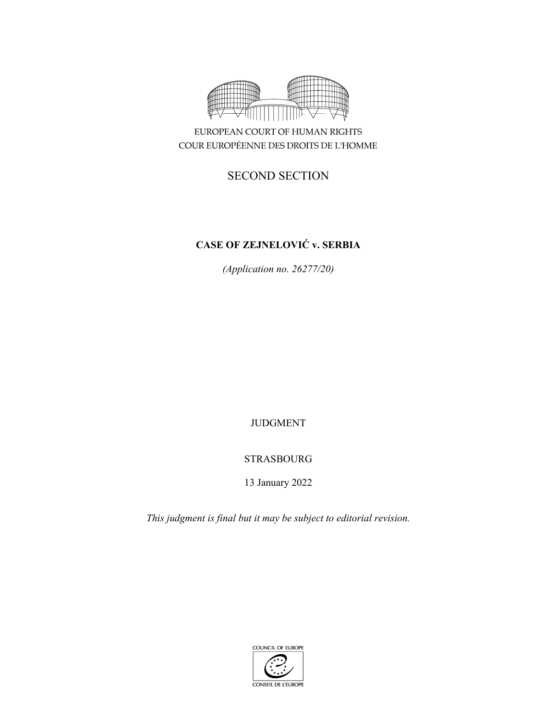

EUROPEAN COURT OF HUMAN RIGHTS COUR EUROPÉENNE DES DROITS DE L'HOMME

# SECOND SECTION

# **CASE OF ZEJNELOVIĆ v. SERBIA**

*(Application no. 26277/20)* 

JUDGMENT

# STRASBOURG

13 January 2022

*This judgment is final but it may be subject to editorial revision.*

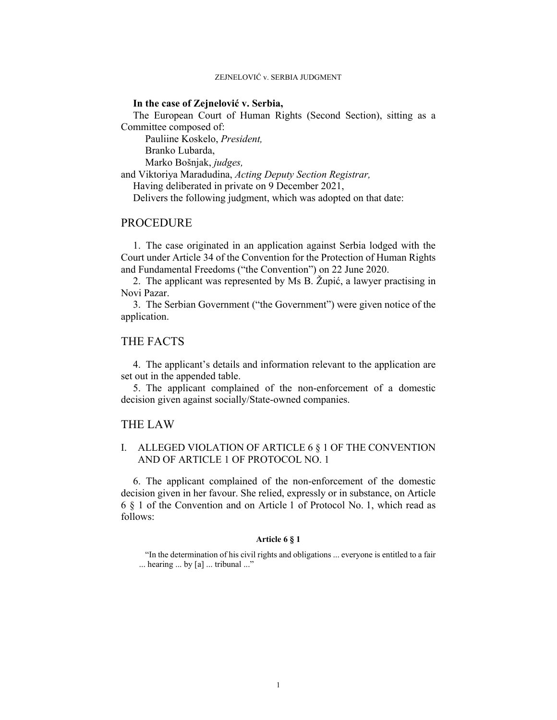### **In the case of Zejnelović v. Serbia,**

The European Court of Human Rights (Second Section), sitting as a Committee composed of:

 Pauliine Koskelo, *President,*  Branko Lubarda,

Marko Bošnjak, *judges,*

and Viktoriya Maradudina, *Acting Deputy Section Registrar,*

Having deliberated in private on 9 December 2021,

Delivers the following judgment, which was adopted on that date:

## PROCEDURE

1. The case originated in an application against Serbia lodged with the Court under Article 34 of the Convention for the Protection of Human Rights and Fundamental Freedoms ("the Convention") on 22 June 2020.

2. The applicant was represented by Ms B. Župić, a lawyer practising in Novi Pazar.

3. The Serbian Government ("the Government") were given notice of the application.

## THE FACTS

4. The applicant's details and information relevant to the application are set out in the appended table.

5. The applicant complained of the non-enforcement of a domestic decision given against socially/State-owned companies.

### THE LAW

## I. ALLEGED VIOLATION OF ARTICLE 6 § 1 OF THE CONVENTION AND OF ARTICLE 1 OF PROTOCOL NO. 1

6. The applicant complained of the non-enforcement of the domestic decision given in her favour. She relied, expressly or in substance, on Article 6 § 1 of the Convention and on Article 1 of Protocol No. 1, which read as follows:

#### **Article 6 § 1**

"In the determination of his civil rights and obligations ... everyone is entitled to a fair ... hearing ... by [a] ... tribunal ..."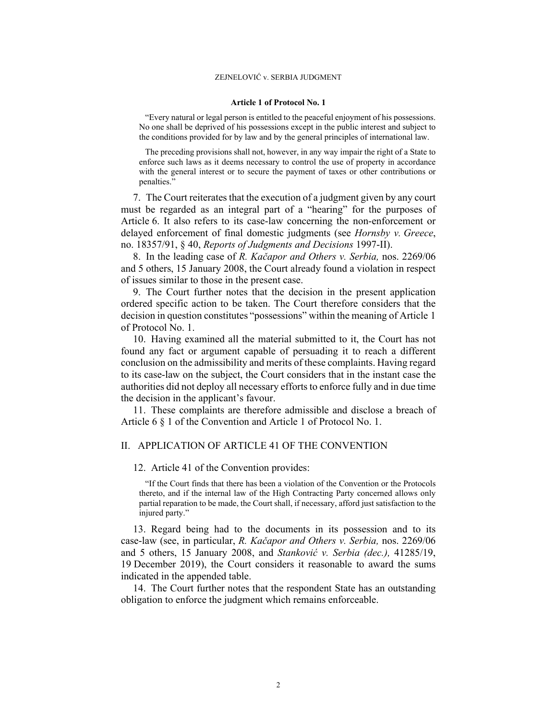#### **Article 1 of Protocol No. 1**

"Every natural or legal person is entitled to the peaceful enjoyment of his possessions. No one shall be deprived of his possessions except in the public interest and subject to the conditions provided for by law and by the general principles of international law.

The preceding provisions shall not, however, in any way impair the right of a State to enforce such laws as it deems necessary to control the use of property in accordance with the general interest or to secure the payment of taxes or other contributions or penalties."

7. The Court reiterates that the execution of a judgment given by any court must be regarded as an integral part of a "hearing" for the purposes of Article 6. It also refers to its case-law concerning the non-enforcement or delayed enforcement of final domestic judgments (see *Hornsby v. Greece*, no. 18357/91, § 40, *Reports of Judgments and Decisions* 1997-II).

8. In the leading case of *R. Kačapor and Others v. Serbia,* nos. 2269/06 and 5 others, 15 January 2008, the Court already found a violation in respect of issues similar to those in the present case.

9. The Court further notes that the decision in the present application ordered specific action to be taken. The Court therefore considers that the decision in question constitutes "possessions" within the meaning of Article 1 of Protocol No. 1.

10. Having examined all the material submitted to it, the Court has not found any fact or argument capable of persuading it to reach a different conclusion on the admissibility and merits of these complaints. Having regard to its case-law on the subject, the Court considers that in the instant case the authorities did not deploy all necessary efforts to enforce fully and in due time the decision in the applicant's favour.

11. These complaints are therefore admissible and disclose a breach of Article 6 § 1 of the Convention and Article 1 of Protocol No. 1.

### II. APPLICATION OF ARTICLE 41 OF THE CONVENTION

### 12. Article 41 of the Convention provides:

"If the Court finds that there has been a violation of the Convention or the Protocols thereto, and if the internal law of the High Contracting Party concerned allows only partial reparation to be made, the Court shall, if necessary, afford just satisfaction to the injured party."

13. Regard being had to the documents in its possession and to its case-law (see, in particular, *R. Kačapor and Others v. Serbia,* nos. 2269/06 and 5 others, 15 January 2008, and *Stanković v. Serbia (dec.),* 41285/19, 19 December 2019), the Court considers it reasonable to award the sums indicated in the appended table.

14. The Court further notes that the respondent State has an outstanding obligation to enforce the judgment which remains enforceable.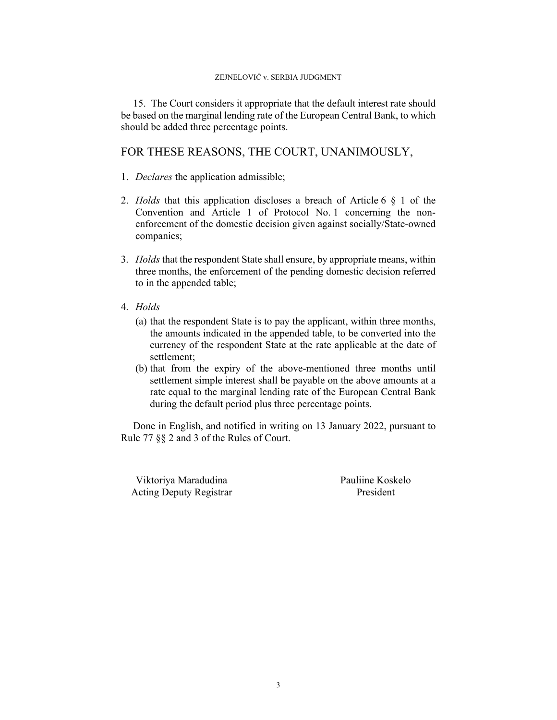15. The Court considers it appropriate that the default interest rate should be based on the marginal lending rate of the European Central Bank, to which should be added three percentage points.

# FOR THESE REASONS, THE COURT, UNANIMOUSLY,

- 1. *Declares* the application admissible;
- 2. *Holds* that this application discloses a breach of Article 6 § 1 of the Convention and Article 1 of Protocol No. 1 concerning the nonenforcement of the domestic decision given against socially/State-owned companies;
- 3. *Holds* that the respondent State shall ensure, by appropriate means, within three months, the enforcement of the pending domestic decision referred to in the appended table;
- 4. *Holds*
	- (a) that the respondent State is to pay the applicant, within three months, the amounts indicated in the appended table, to be converted into the currency of the respondent State at the rate applicable at the date of settlement;
	- (b) that from the expiry of the above-mentioned three months until settlement simple interest shall be payable on the above amounts at a rate equal to the marginal lending rate of the European Central Bank during the default period plus three percentage points.

Done in English, and notified in writing on 13 January 2022, pursuant to Rule 77 §§ 2 and 3 of the Rules of Court.

Viktoriya Maradudina Pauliine Koskelo Acting Deputy Registrar President